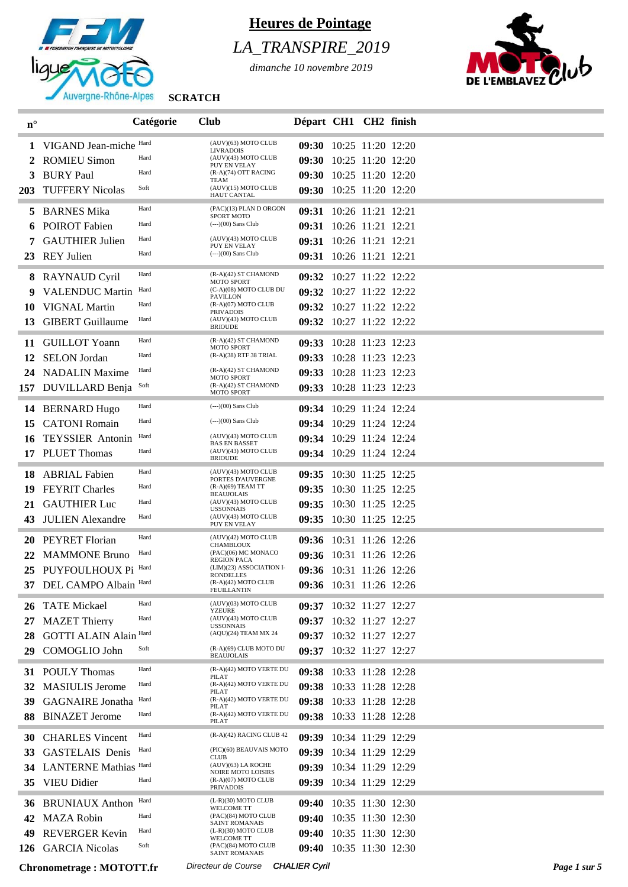

# *LA\_TRANSPIRE\_2019*

*dimanche 10 novembre 2019*



| $\mathbf{n}^\circ$ |                                 | Catégorie | <b>Club</b>                                                            | Départ CH1 CH2 finish   |                         |              |
|--------------------|---------------------------------|-----------|------------------------------------------------------------------------|-------------------------|-------------------------|--------------|
|                    | 1 VIGAND Jean-miche Hard        |           | (AUV)(63) MOTO CLUB                                                    |                         | 09:30 10:25 11:20 12:20 |              |
| 2                  | <b>ROMIEU Simon</b>             | Hard      | <b>LIVRADOIS</b><br>(AUV)(43) MOTO CLUB                                |                         | 09:30 10:25 11:20 12:20 |              |
| 3                  | <b>BURY Paul</b>                | Hard      | PUY EN VELAY<br>(R-A)(74) OTT RACING                                   |                         | 09:30 10:25 11:20 12:20 |              |
| <b>203</b>         | <b>TUFFERY Nicolas</b>          | Soft      | TEAM<br>(AUV)(15) MOTO CLUB<br><b>HAUT CANTAL</b>                      |                         | 09:30 10:25 11:20 12:20 |              |
| 5                  | <b>BARNES Mika</b>              | Hard      | (PAC)(13) PLAN D ORGON                                                 |                         | 09:31 10:26 11:21 12:21 |              |
|                    | <b>POIROT</b> Fabien            | Hard      | <b>SPORT MOTO</b><br>$(-)(00)$ Sans Club                               |                         | 09:31 10:26 11:21 12:21 |              |
|                    | <b>GAUTHIER Julien</b>          | Hard      | (AUV)(43) MOTO CLUB                                                    |                         | 09:31 10:26 11:21 12:21 |              |
|                    | 23 REY Julien                   | Hard      | PUY EN VELAY<br>(---)(00) Sans Club                                    |                         | 09:31 10:26 11:21 12:21 |              |
|                    | 8 RAYNAUD Cyril                 | Hard      | (R-A)(42) ST CHAMOND                                                   |                         | 09:32 10:27 11:22 12:22 |              |
|                    | <b>VALENDUC Martin</b>          | Hard      | <b>MOTO SPORT</b><br>(C-A)(08) MOTO CLUB DU                            |                         | 09:32 10:27 11:22 12:22 |              |
| 10                 | <b>VIGNAL Martin</b>            | Hard      | <b>PAVILLON</b><br>$(R-A)(07)$ MOTO CLUB                               |                         | 09:32 10:27 11:22 12:22 |              |
| 13                 | <b>GIBERT</b> Guillaume         | Hard      | <b>PRIVADOIS</b><br>(AUV)(43) MOTO CLUB                                |                         | 09:32 10:27 11:22 12:22 |              |
|                    |                                 |           | <b>BRIOUDE</b>                                                         |                         |                         |              |
| 11                 | <b>GUILLOT Yoann</b>            | Hard      | (R-A)(42) ST CHAMOND<br><b>MOTO SPORT</b>                              |                         | 09:33 10:28 11:23 12:23 |              |
| 12                 | <b>SELON</b> Jordan             | Hard      | (R-A)(38) RTF 38 TRIAL                                                 |                         | 09:33 10:28 11:23 12:23 |              |
| 24                 | <b>NADALIN Maxime</b>           | Hard      | (R-A)(42) ST CHAMOND<br><b>MOTO SPORT</b>                              |                         | 09:33 10:28 11:23 12:23 |              |
|                    | 157 DUVILLARD Benja             | Soft      | $(R-A)(42)$ ST CHAMOND<br><b>MOTO SPORT</b>                            |                         | 09:33 10:28 11:23 12:23 |              |
| 14                 | <b>BERNARD Hugo</b>             | Hard      | $(-)-(00)$ Sans Club                                                   |                         | 09:34 10:29 11:24 12:24 |              |
| 15                 | <b>CATONI Romain</b>            | Hard      | (---)(00) Sans Club                                                    |                         | 09:34 10:29 11:24 12:24 |              |
| 16                 | <b>TEYSSIER</b> Antonin         | Hard      | (AUV)(43) MOTO CLUB                                                    |                         | 09:34 10:29 11:24 12:24 |              |
| 17                 | <b>PLUET</b> Thomas             | Hard      | <b>BAS EN BASSET</b><br>(AUV)(43) MOTO CLUB                            |                         | 09:34 10:29 11:24 12:24 |              |
|                    |                                 | Hard      | <b>BRIOUDE</b><br>(AUV)(43) MOTO CLUB                                  |                         |                         |              |
| 18                 | <b>ABRIAL Fabien</b>            |           | PORTES D'AUVERGNE<br>(R-A)(69) TEAM TT                                 |                         | 09:35 10:30 11:25 12:25 |              |
| 19                 | <b>FEYRIT Charles</b>           | Hard      | <b>BEAUJOLAIS</b>                                                      |                         | 09:35 10:30 11:25 12:25 |              |
| 21                 | <b>GAUTHIER Luc</b>             | Hard      | (AUV)(43) MOTO CLUB<br><b>USSONNAIS</b>                                |                         | 09:35 10:30 11:25 12:25 |              |
| 43                 | <b>JULIEN</b> Alexandre         | Hard      | (AUV)(43) MOTO CLUB<br>PUY EN VELAY                                    |                         | 09:35 10:30 11:25 12:25 |              |
| 20                 | PEYRET Florian                  | Hard      | (AUV)(42) MOTO CLUB<br><b>CHAMBLOUX</b>                                |                         | 09:36 10:31 11:26 12:26 |              |
| 22                 | <b>MAMMONE Bruno</b>            | Hard      | (PAC)(06) MC MONACO<br><b>REGION PACA</b>                              |                         | 09:36 10:31 11:26 12:26 |              |
| 25                 | PUYFOULHOUX Pi Hard             |           | (LIM)(23) ASSOCIATION I-<br><b>RONDELLES</b>                           |                         | 09:36 10:31 11:26 12:26 |              |
|                    | 37 DEL CAMPO Albain Hard        |           | (R-A)(42) MOTO CLUB<br>FEUILLANTIN                                     |                         | 09:36 10:31 11:26 12:26 |              |
| 26                 | <b>TATE Mickael</b>             | Hard      | (AUV)(03) MOTO CLUB<br>YZEURE                                          |                         | 09:37 10:32 11:27 12:27 |              |
| 27                 | <b>MAZET Thierry</b>            | Hard      | (AUV)(43) MOTO CLUB<br><b>USSONNAIS</b>                                |                         | 09:37 10:32 11:27 12:27 |              |
| 28                 | <b>GOTTI ALAIN Alain Hard</b>   |           | (AQU)(24) TEAM MX 24                                                   |                         | 09:37 10:32 11:27 12:27 |              |
| 29                 | COMOGLIO John                   | Soft      | (R-A)(69) CLUB MOTO DU<br><b>BEAUJOLAIS</b>                            |                         | 09:37 10:32 11:27 12:27 |              |
| 31                 | <b>POULY Thomas</b>             | Hard      | (R-A)(42) MOTO VERTE DU<br>PILAT                                       |                         | 09:38 10:33 11:28 12:28 |              |
| 32                 | <b>MASIULIS</b> Jerome          | Hard      | (R-A)(42) MOTO VERTE DU                                                | 09:38 10:33 11:28 12:28 |                         |              |
| 39                 | <b>GAGNAIRE</b> Jonatha         | Hard      | PILAT<br>(R-A)(42) MOTO VERTE DU                                       |                         | 09:38 10:33 11:28 12:28 |              |
| 88                 | <b>BINAZET Jerome</b>           | Hard      | PILAT<br>(R-A)(42) MOTO VERTE DU<br>PILAT                              | 09:38 10:33 11:28 12:28 |                         |              |
| 30                 | <b>CHARLES</b> Vincent          | Hard      | (R-A)(42) RACING CLUB 42                                               | 09:39                   | 10:34 11:29 12:29       |              |
| 33                 | <b>GASTELAIS</b> Denis          | Hard      | (PIC)(60) BEAUVAIS MOTO                                                |                         | 09:39 10:34 11:29 12:29 |              |
| 34                 | <b>LANTERNE Mathias Hard</b>    |           | <b>CLUB</b><br>$(AUV)(63)$ LA ROCHE                                    |                         | 09:39 10:34 11:29 12:29 |              |
| 35.                | <b>VIEU Didier</b>              | Hard      | <b>NOIRE MOTO LOISIRS</b><br>$(R-A)(07)$ MOTO CLUB<br><b>PRIVADOIS</b> |                         | 09:39 10:34 11:29 12:29 |              |
| 36                 | <b>BRUNIAUX Anthon</b>          | Hard      | $(L-R)(30)$ MOTO CLUB                                                  |                         | 09:40 10:35 11:30 12:30 |              |
| 42                 | <b>MAZA Robin</b>               | Hard      | <b>WELCOME TT</b><br>(PAC)(84) MOTO CLUB                               |                         | 09:40 10:35 11:30 12:30 |              |
| 49                 | <b>REVERGER Kevin</b>           | Hard      | <b>SAINT ROMANAIS</b><br>$(L-R)(30)$ MOTO CLUB                         |                         | 09:40 10:35 11:30 12:30 |              |
| 126                | <b>GARCIA Nicolas</b>           | Soft      | <b>WELCOME TT</b><br>(PAC)(84) MOTO CLUB                               |                         | 09:40 10:35 11:30 12:30 |              |
|                    |                                 |           | <b>SAINT ROMANAIS</b>                                                  |                         |                         |              |
|                    | <b>Chronometrage: MOTOTT.fr</b> |           | Directeur de Course                                                    | <b>CHALIER Cyril</b>    |                         | Page 1 sur 5 |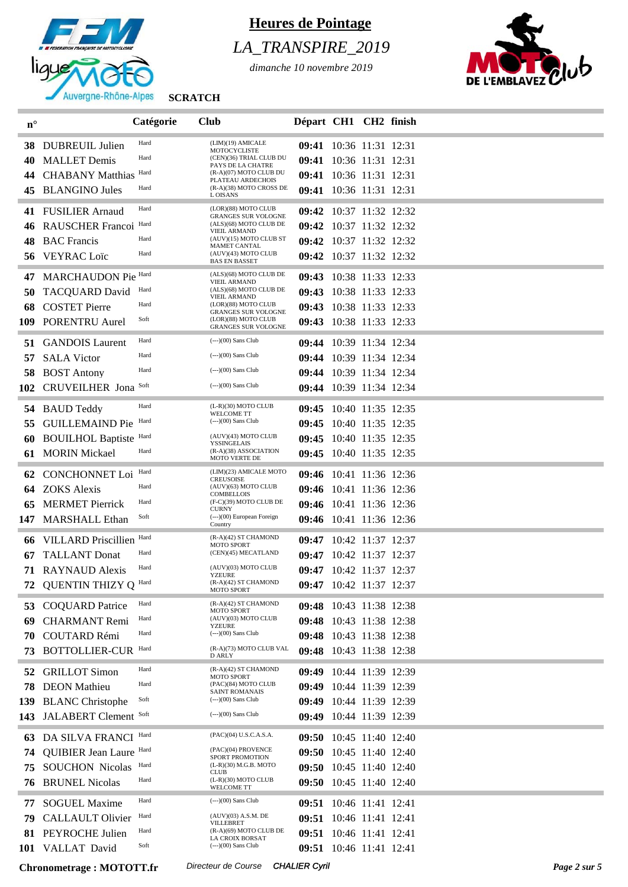

# *LA\_TRANSPIRE\_2019*

*dimanche 10 novembre 2019*



| $n^{\circ}$ |                                      | Catégorie | <b>Club</b>                                          | Départ CH1 CH2 finish   |  |              |
|-------------|--------------------------------------|-----------|------------------------------------------------------|-------------------------|--|--------------|
| 38          | DUBREUIL Julien                      | Hard      | (LIM)(19) AMICALE                                    | 09:41 10:36 11:31 12:31 |  |              |
| 40          | <b>MALLET Demis</b>                  | Hard      | MOTOCYCLISTE<br>(CEN)(36) TRIAL CLUB DU              | 09:41 10:36 11:31 12:31 |  |              |
|             | <b>CHABANY Matthias</b>              | Hard      | PAYS DE LA CHATRE<br>$(R-A)(07)$ MOTO CLUB DU        | 09:41 10:36 11:31 12:31 |  |              |
| 45          | <b>BLANGINO Jules</b>                | Hard      | PLATEAU ARDECHOIS<br>(R-A)(38) MOTO CROSS DE         | 09:41 10:36 11:31 12:31 |  |              |
|             |                                      | Hard      | L OISANS<br>(LOR)(88) MOTO CLUB                      |                         |  |              |
| 41          | <b>FUSILIER Arnaud</b>               | Hard      | <b>GRANGES SUR VOLOGNE</b><br>(ALS)(68) MOTO CLUB DE | 09:42 10:37 11:32 12:32 |  |              |
| 46          | <b>RAUSCHER Francoi</b>              | Hard      | <b>VIEIL ARMAND</b><br>(AUV)(15) MOTO CLUB ST        | 09:42 10:37 11:32 12:32 |  |              |
| 48          | <b>BAC</b> Francis<br>56 VEYRAC Loïc | Hard      | <b>MAMET CANTAL</b><br>(AUV)(43) MOTO CLUB           | 09:42 10:37 11:32 12:32 |  |              |
|             |                                      |           | <b>BAS EN BASSET</b>                                 | 09:42 10:37 11:32 12:32 |  |              |
| 47          | MARCHAUDON Pie Hard                  |           | (ALS)(68) MOTO CLUB DE<br><b>VIEIL ARMAND</b>        | 09:43 10:38 11:33 12:33 |  |              |
| 50          | <b>TACQUARD David</b>                | Hard      | (ALS)(68) MOTO CLUB DE<br><b>VIEIL ARMAND</b>        | 09:43 10:38 11:33 12:33 |  |              |
| 68          | <b>COSTET Pierre</b>                 | Hard      | (LOR)(88) MOTO CLUB<br><b>GRANGES SUR VOLOGNE</b>    | 09:43 10:38 11:33 12:33 |  |              |
| 109         | PORENTRU Aurel                       | Soft      | (LOR)(88) MOTO CLUB<br><b>GRANGES SUR VOLOGNE</b>    | 09:43 10:38 11:33 12:33 |  |              |
| 51          | <b>GANDOIS Laurent</b>               | Hard      | $\left(---\right)$ (00) Sans Club                    | 09:44 10:39 11:34 12:34 |  |              |
| 57          | <b>SALA Victor</b>                   | Hard      | $(-)$ (00) Sans Club                                 | 09:44 10:39 11:34 12:34 |  |              |
| 58          | <b>BOST Antony</b>                   | Hard      | $(-)(00)$ Sans Club                                  | 09:44 10:39 11:34 12:34 |  |              |
| 102         | <b>CRUVEILHER Jona</b>               | Soft      | $(-)-(00)$ Sans Club                                 | 09:44 10:39 11:34 12:34 |  |              |
| 54          | <b>BAUD Teddy</b>                    | Hard      | $(L-R)(30)$ MOTO CLUB                                | 09:45 10:40 11:35 12:35 |  |              |
| 55          | <b>GUILLEMAIND Pie</b>               | Hard      | <b>WELCOME TT</b><br>$(-)(00)$ Sans Club             | 09:45 10:40 11:35 12:35 |  |              |
| 60          | <b>BOUILHOL Baptiste Hard</b>        |           | (AUV)(43) MOTO CLUB                                  | 09:45 10:40 11:35 12:35 |  |              |
| 61          | <b>MORIN Mickael</b>                 | Hard      | YSSINGELAIS<br>(R-A)(38) ASSOCIATION                 | 09:45 10:40 11:35 12:35 |  |              |
|             |                                      |           | <b>MOTO VERTE DE</b>                                 |                         |  |              |
| 62          | <b>CONCHONNET</b> Loi                | Hard      | (LIM)(23) AMICALE MOTO<br><b>CREUSOISE</b>           | 09:46 10:41 11:36 12:36 |  |              |
| 64          | <b>ZOKS</b> Alexis                   | Hard      | (AUV)(63) MOTO CLUB<br><b>COMBELLOIS</b>             | 09:46 10:41 11:36 12:36 |  |              |
|             | <b>MERMET Pierrick</b>               | Hard      | (F-C)(39) MOTO CLUB DE<br><b>CURNY</b>               | 09:46 10:41 11:36 12:36 |  |              |
| 147         | <b>MARSHALL Ethan</b>                | Soft      | $(-)(00)$ European Foreign<br>Country                | 09:46 10:41 11:36 12:36 |  |              |
| 66          | VILLARD Priscillien Hard             |           | (R-A)(42) ST CHAMOND<br>MOTO SPORT                   | 09:47 10:42 11:37 12:37 |  |              |
| 67          | <b>TALLANT</b> Donat                 | Hard      | (CEN)(45) MECATLAND                                  | 09:47 10:42 11:37 12:37 |  |              |
| 71          | <b>RAYNAUD Alexis</b>                | Hard      | (AUV)(03) MOTO CLUB<br>YZEURE                        | 09:47 10:42 11:37 12:37 |  |              |
| 72          | QUENTIN THIZY Q Hard                 |           | (R-A)(42) ST CHAMOND<br>MOTO SPORT                   | 09:47 10:42 11:37 12:37 |  |              |
| 53          | <b>COQUARD</b> Patrice               | Hard      | (R-A)(42) ST CHAMOND                                 | 09:48 10:43 11:38 12:38 |  |              |
| 69          | <b>CHARMANT</b> Remi                 | Hard      | MOTO SPORT<br>(AUV)(03) MOTO CLUB                    | 09:48 10:43 11:38 12:38 |  |              |
| 70          | <b>COUTARD Rémi</b>                  | Hard      | <b>YZEURE</b><br>$(--)(00)$ Sans Club                | 09:48 10:43 11:38 12:38 |  |              |
| 73          | <b>BOTTOLLIER-CUR</b>                | Hard      | (R-A)(73) MOTO CLUB VAL<br><b>D ARLY</b>             | 09:48 10:43 11:38 12:38 |  |              |
| 52          | <b>GRILLOT</b> Simon                 | Hard      | $(R-A)(42)$ ST CHAMOND                               | 09:49 10:44 11:39 12:39 |  |              |
| 78          | <b>DEON</b> Mathieu                  | Hard      | <b>MOTO SPORT</b><br>(PAC)(84) MOTO CLUB             | 09:49 10:44 11:39 12:39 |  |              |
| 139         | <b>BLANC</b> Christophe              | Soft      | <b>SAINT ROMANAIS</b><br>$(-)$ (00) Sans Club        | 09:49 10:44 11:39 12:39 |  |              |
| 143         | JALABERT Clement Soft                |           | $\left($ --- $\right)$ (00) Sans Club                | 09:49 10:44 11:39 12:39 |  |              |
|             |                                      | Hard      | (PAC)(04) U.S.C.A.S.A.                               |                         |  |              |
| 63          | DA SILVA FRANCI                      |           | (PAC)(04) PROVENCE                                   | 09:50 10:45 11:40 12:40 |  |              |
| 74          | <b>QUIBIER Jean Laure Hard</b>       | Hard      | SPORT PROMOTION<br>(L-R)(30) M.G.B. MOTO             | 09:50 10:45 11:40 12:40 |  |              |
| 75          | <b>SOUCHON Nicolas</b>               | Hard      | <b>CLUB</b><br>$(L-R)(30)$ MOTO CLUB                 | 09:50 10:45 11:40 12:40 |  |              |
| 76          | <b>BRUNEL Nicolas</b>                |           | <b>WELCOME TT</b>                                    | 09:50 10:45 11:40 12:40 |  |              |
| 77          | <b>SOGUEL Maxime</b>                 | Hard      | $(-(-))$ (00) Sans Club                              | 09:51 10:46 11:41 12:41 |  |              |
| 79          | <b>CALLAULT Olivier</b>              | Hard      | $(AUV)(03)$ A.S.M. DE<br>VILLEBRET                   | 09:51 10:46 11:41 12:41 |  |              |
| 81          | PEYROCHE Julien                      | Hard      | $(R-A)(69)$ MOTO CLUB DE<br>LA CROIX BORSAT          | 09:51 10:46 11:41 12:41 |  |              |
| 101         | VALLAT David                         | Soft      | $(-)(00)$ Sans Club                                  | 09:51 10:46 11:41 12:41 |  |              |
|             | <b>Chronometrage: MOTOTT.fr</b>      |           | Directeur de Course                                  | <b>CHALIER Cyril</b>    |  | Page 2 sur 5 |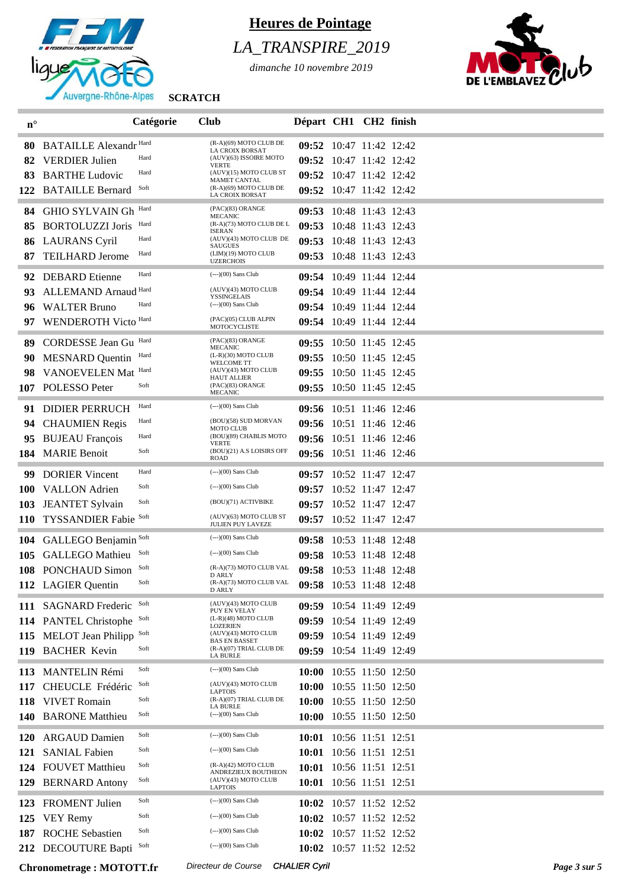

# *LA\_TRANSPIRE\_2019*

*dimanche 10 novembre 2019*



| $\mathbf{n}^\circ$ |                                                 | Catégorie    | <b>Club</b>                                                             | Départ CH1 CH2 finish                              |                   |              |
|--------------------|-------------------------------------------------|--------------|-------------------------------------------------------------------------|----------------------------------------------------|-------------------|--------------|
| 80                 | <b>BATAILLE Alexandr Hard</b>                   |              | (R-A)(69) MOTO CLUB DE                                                  | 09:52 10:47 11:42 12:42                            |                   |              |
| 82                 | <b>VERDIER Julien</b>                           | Hard         | LA CROIX BORSAT<br>(AUV)(63) ISSOIRE MOTO                               | 09:52 10:47 11:42 12:42                            |                   |              |
| 83                 | <b>BARTHE Ludovic</b>                           | Hard         | <b>VERTE</b><br>(AUV)(15) MOTO CLUB ST                                  | 09:52                                              | 10:47 11:42 12:42 |              |
| 122                | <b>BATAILLE Bernard</b>                         | Soft         | <b>MAMET CANTAL</b><br>(R-A)(69) MOTO CLUB DE<br><b>LA CROIX BORSAT</b> | 09:52 10:47 11:42 12:42                            |                   |              |
|                    |                                                 | Hard         | (PAC)(83) ORANGE                                                        |                                                    |                   |              |
| 84                 | <b>GHIO SYLVAIN Gh</b>                          | Hard         | <b>MECANIC</b><br>(R-A)(73) MOTO CLUB DE L                              | 09:53 10:48 11:43 12:43<br>09:53 10:48 11:43 12:43 |                   |              |
| 85                 | <b>BORTOLUZZI Joris</b><br><b>LAURANS Cyril</b> | Hard         | <b>ISERAN</b><br>(AUV)(43) MOTO CLUB DE                                 | 09:53 10:48 11:43 12:43                            |                   |              |
| 86<br>87           | <b>TEILHARD Jerome</b>                          | Hard         | <b>SAUGUES</b><br>(LIM)(19) MOTO CLUB                                   | 09:53 10:48 11:43 12:43                            |                   |              |
|                    |                                                 |              | <b>UZERCHOIS</b>                                                        |                                                    |                   |              |
| 92                 | <b>DEBARD</b> Etienne                           | Hard         | $\left(---\right)$ $(00)$ Sans Club                                     | 09:54 10:49 11:44 12:44                            |                   |              |
| 93                 | ALLEMAND Arnaud Hard                            |              | (AUV)(43) MOTO CLUB<br>YSSINGELAIS                                      | 09:54 10:49 11:44 12:44                            |                   |              |
| 96                 | <b>WALTER Bruno</b>                             | Hard         | $\left(---\right)$ $(00)$ Sans Club                                     | 09:54 10:49 11:44 12:44                            |                   |              |
| 97                 | WENDEROTH Victo Hard                            |              | (PAC)(05) CLUB ALPIN<br>MOTOCYCLISTE                                    | 09:54 10:49 11:44 12:44                            |                   |              |
| 89                 | <b>CORDESSE Jean Gu</b>                         | Hard         | (PAC)(83) ORANGE<br><b>MECANIC</b>                                      | 09:55 10:50 11:45 12:45                            |                   |              |
| 90                 | <b>MESNARD</b> Quentin                          | Hard         | (L-R)(30) MOTO CLUB<br><b>WELCOME TT</b>                                | 09:55                                              | 10:50 11:45 12:45 |              |
| 98                 | VANOEVELEN Mat                                  | Hard         | (AUV)(43) MOTO CLUB<br><b>HAUT ALLIER</b>                               | 09:55 10:50 11:45 12:45                            |                   |              |
| 107                | POLESSO Peter                                   | Soft         | (PAC)(83) ORANGE<br><b>MECANIC</b>                                      | 09:55 10:50 11:45 12:45                            |                   |              |
| 91                 | <b>DIDIER PERRUCH</b>                           | Hard         | $(-)(00)$ Sans Club                                                     | 09:56 10:51 11:46 12:46                            |                   |              |
| 94                 | <b>CHAUMIEN Regis</b>                           | Hard         | (BOU)(58) SUD MORVAN                                                    | 09:56 10:51 11:46 12:46                            |                   |              |
|                    | 95 BUJEAU François                              | Hard         | <b>MOTO CLUB</b><br>(BOU)(89) CHABLIS MOTO                              | 09:56 10:51 11:46 12:46                            |                   |              |
|                    | 184 MARIE Benoit                                | Soft         | VERTE<br>(BOU)(21) A.S LOISIRS OFF<br>ROAD                              | 09:56 10:51 11:46 12:46                            |                   |              |
| 99                 | <b>DORIER Vincent</b>                           | Hard         | $\left(---\right)$ $(00)$ Sans Club                                     | 09:57 10:52 11:47 12:47                            |                   |              |
| <b>100</b>         | <b>VALLON</b> Adrien                            | Soft         | $(-)(00)$ Sans Club                                                     | 09:57 10:52 11:47 12:47                            |                   |              |
| 103                | <b>JEANTET Sylvain</b>                          | Soft         | (BOU)(71) ACTIVBIKE                                                     | 09:57 10:52 11:47 12:47                            |                   |              |
| <b>110</b>         | <b>TYSSANDIER Fabie Soft</b>                    |              | (AUV)(63) MOTO CLUB ST                                                  | 09:57 10:52 11:47 12:47                            |                   |              |
|                    |                                                 |              | JULIEN PUY LAVEZE                                                       |                                                    |                   |              |
|                    | 104 GALLEGO Benjamin Soft                       |              | $\left(---\right)$ $(00)$ Sans Club<br>$(-)-(00)$ Sans Club             | 09:58 10:53 11:48 12:48                            |                   |              |
| 105                | <b>GALLEGO</b> Mathieu                          | Soft<br>Soft | (R-A)(73) MOTO CLUB VAL                                                 | 09:58 10:53 11:48 12:48                            |                   |              |
| 108                | <b>PONCHAUD Simon</b>                           | Soft         | D ARLY<br>(R-A)(73) MOTO CLUB VAL                                       | 09:58 10:53 11:48 12:48                            |                   |              |
|                    | 112 LAGIER Quentin                              |              | D ARLY                                                                  | 09:58 10:53 11:48 12:48                            |                   |              |
|                    | 111 SAGNARD Frederic                            | Soft         | (AUV)(43) MOTO CLUB<br>PUY EN VELAY                                     | 09:59 10:54 11:49 12:49                            |                   |              |
| 114                | <b>PANTEL Christophe</b>                        | Soft         | (L-R)(48) MOTO CLUB<br>LOZERIEN                                         | 09:59                                              | 10:54 11:49 12:49 |              |
| 115                | <b>MELOT</b> Jean Philipp                       | Soft         | (AUV)(43) MOTO CLUB<br><b>BAS EN BASSET</b>                             | 09:59 10:54 11:49 12:49                            |                   |              |
| 119                | <b>BACHER Kevin</b>                             | Soft         | (R-A)(07) TRIAL CLUB DE<br><b>LA BURLE</b>                              | 09:59                                              | 10:54 11:49 12:49 |              |
| 113                | <b>MANTELIN Rémi</b>                            | Soft         | $\left(---\right)$ $(00)$ Sans Club                                     | 10:00 10:55 11:50 12:50                            |                   |              |
| 117                | CHEUCLE Frédéric                                | Soft         | (AUV)(43) MOTO CLUB<br><b>LAPTOIS</b>                                   | 10:00 10:55 11:50 12:50                            |                   |              |
| 118                | <b>VIVET Romain</b>                             | Soft         | (R-A)(07) TRIAL CLUB DE<br><b>LA BURLE</b>                              | 10:00 10:55 11:50 12:50                            |                   |              |
| 140                | <b>BARONE</b> Matthieu                          | Soft         | $\left(---\right)$ $(00)$ Sans Club                                     | 10:00 10:55 11:50 12:50                            |                   |              |
| <b>120</b>         | <b>ARGAUD Damien</b>                            | Soft         | $\left(---\right)$ $(00)$ Sans Club                                     | 10:01 10:56 11:51 12:51                            |                   |              |
| 121                | <b>SANIAL Fabien</b>                            | Soft         | $(-)-(00)$ Sans Club                                                    | 10:01 10:56 11:51 12:51                            |                   |              |
|                    | 124 FOUVET Matthieu                             | Soft         | (R-A)(42) MOTO CLUB                                                     | 10:01 10:56 11:51 12:51                            |                   |              |
| 129                | <b>BERNARD Antony</b>                           | Soft         | ANDREZIEUX BOUTHEON<br>(AUV)(43) MOTO CLUB                              | 10:01 10:56 11:51 12:51                            |                   |              |
|                    |                                                 | Soft         | <b>LAPTOIS</b><br>$\left(---\right)$ $(00)$ Sans Club                   |                                                    |                   |              |
| 123                | <b>FROMENT</b> Julien<br><b>VEY Remy</b>        | Soft         | $(-)(00)$ Sans Club                                                     | 10:02 10:57 11:52 12:52<br>10:02                   | 10:57 11:52 12:52 |              |
| 125<br>187         | <b>ROCHE Sebastien</b>                          | Soft         | $(-)-(00)$ Sans Club                                                    | 10:02 10:57 11:52 12:52                            |                   |              |
| 212                | <b>DECOUTURE Bapti</b>                          | Soft         | $(-)(00)$ Sans Club                                                     | 10:02 10:57 11:52 12:52                            |                   |              |
|                    |                                                 |              |                                                                         |                                                    |                   |              |
|                    | <b>Chronometrage: MOTOTT.fr</b>                 |              | Directeur de Course                                                     | <b>CHALIER Cyril</b>                               |                   | Page 3 sur 5 |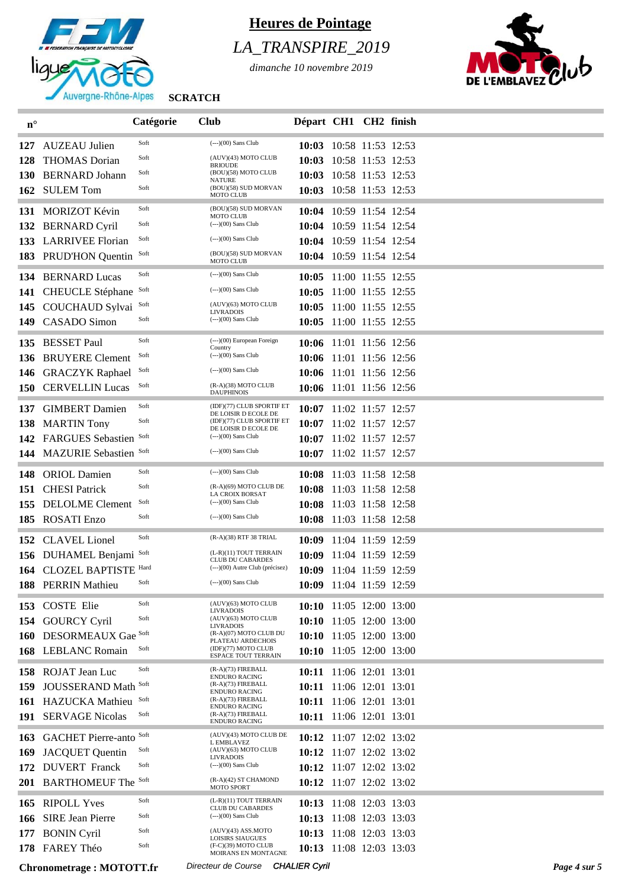

## *LA\_TRANSPIRE\_2019*

*dimanche 10 novembre 2019*



| $n^{\circ}$ |                                 | Catégorie | <b>Club</b>                                                 | Départ CH1 CH2 finish |                         |              |
|-------------|---------------------------------|-----------|-------------------------------------------------------------|-----------------------|-------------------------|--------------|
| 127         | <b>AUZEAU Julien</b>            | Soft      | $\left(---\right)$ (00) Sans Club                           |                       | 10:03 10:58 11:53 12:53 |              |
| 128         | <b>THOMAS</b> Dorian            | Soft      | (AUV)(43) MOTO CLUB                                         |                       | 10:03 10:58 11:53 12:53 |              |
| <b>130</b>  | <b>BERNARD</b> Johann           | Soft      | <b>BRIOUDE</b><br>(BOU)(58) MOTO CLUB                       |                       | 10:03 10:58 11:53 12:53 |              |
|             | 162 SULEM Tom                   | Soft      | <b>NATURE</b><br>(BOU)(58) SUD MORVAN<br><b>MOTO CLUB</b>   |                       | 10:03 10:58 11:53 12:53 |              |
|             | 131 MORIZOT Kévin               | Soft      | (BOU)(58) SUD MORVAN                                        |                       | 10:04 10:59 11:54 12:54 |              |
| 132         | <b>BERNARD Cyril</b>            | Soft      | <b>MOTO CLUB</b><br>$\left(---\right)$ (00) Sans Club       |                       | 10:04 10:59 11:54 12:54 |              |
|             | 133 LARRIVEE Florian            | Soft      | $(-)$ (00) Sans Club                                        |                       | 10:04 10:59 11:54 12:54 |              |
|             | 183 PRUD'HON Ouentin            | Soft      | (BOU)(58) SUD MORVAN<br><b>MOTO CLUB</b>                    |                       | 10:04 10:59 11:54 12:54 |              |
| 134         | <b>BERNARD Lucas</b>            | Soft      | $(-)-(00)$ Sans Club                                        |                       | 10:05 11:00 11:55 12:55 |              |
| 141         | <b>CHEUCLE</b> Stéphane         | Soft      | (---)(00) Sans Club                                         | 10:05                 | 11:00 11:55 12:55       |              |
|             | 145 COUCHAUD Sylvai             | Soft      | (AUV)(63) MOTO CLUB                                         |                       | 10:05 11:00 11:55 12:55 |              |
| 149         | <b>CASADO</b> Simon             | Soft      | <b>LIVRADOIS</b><br>$(-)$ (00) Sans Club                    |                       | 10:05 11:00 11:55 12:55 |              |
|             |                                 |           |                                                             |                       |                         |              |
| 135         | <b>BESSET Paul</b>              | Soft      | $(--)(00)$ European Foreign<br>Country                      |                       | 10:06 11:01 11:56 12:56 |              |
| 136         | <b>BRUYERE Clement</b>          | Soft      | $(-)$ (00) Sans Club                                        |                       | 10:06 11:01 11:56 12:56 |              |
|             | 146 GRACZYK Raphael             | Soft      | $(-)$ (00) Sans Club                                        |                       | 10:06 11:01 11:56 12:56 |              |
|             | 150 CERVELLIN Lucas             | Soft      | (R-A)(38) MOTO CLUB<br><b>DAUPHINOIS</b>                    |                       | 10:06 11:01 11:56 12:56 |              |
| 137         | <b>GIMBERT</b> Damien           | Soft      | (IDF)(77) CLUB SPORTIF ET                                   |                       | 10:07 11:02 11:57 12:57 |              |
| 138         | <b>MARTIN Tony</b>              | Soft      | DE LOISIR D ECOLE DE<br>(IDF)(77) CLUB SPORTIF ET           |                       | 10:07 11:02 11:57 12:57 |              |
| 142         | <b>FARGUES</b> Sebastien        | Soft      | DE LOISIR D ECOLE DE<br>(---)(00) Sans Club                 |                       | 10:07 11:02 11:57 12:57 |              |
| 144         | MAZURIE Sebastien Soft          |           | $(-)-(00)$ Sans Club                                        |                       | 10:07 11:02 11:57 12:57 |              |
|             |                                 |           |                                                             |                       |                         |              |
| 148         | <b>ORIOL</b> Damien             | Soft      | $(-)-(00)$ Sans Club                                        |                       | 10:08 11:03 11:58 12:58 |              |
| 151         | <b>CHESI</b> Patrick            | Soft      | (R-A)(69) MOTO CLUB DE<br><b>LA CROIX BORSAT</b>            |                       | 10:08 11:03 11:58 12:58 |              |
| 155         | <b>DELOLME</b> Clement          | Soft      | $\left(---\right)$ (00) Sans Club                           |                       | 10:08 11:03 11:58 12:58 |              |
|             | 185 ROSATI Enzo                 | Soft      | $(-)$ (00) Sans Club                                        |                       | 10:08 11:03 11:58 12:58 |              |
| 152         | <b>CLAVEL</b> Lionel            | Soft      | (R-A)(38) RTF 38 TRIAL                                      |                       | 10:09 11:04 11:59 12:59 |              |
|             | 156 DUHAMEL Benjami             | Soft      | (L-R)(11) TOUT TERRAIN<br><b>CLUB DU CABARDES</b>           |                       | 10:09 11:04 11:59 12:59 |              |
|             | 164 CLOZEL BAPTISTE Hard        |           | (---)(00) Autre Club (précisez)                             |                       | 10:09 11:04 11:59 12:59 |              |
|             | 188 PERRIN Mathieu              | Soft      | $(-)-(00)$ Sans Club                                        |                       | 10:09 11:04 11:59 12:59 |              |
|             | 153 COSTE Elie                  | Soft      | (AUV)(63) MOTO CLUB<br><b>LIVRADOIS</b>                     |                       | 10:10 11:05 12:00 13:00 |              |
| 154         | <b>GOURCY Cyril</b>             | Soft      | (AUV)(63) MOTO CLUB<br><b>LIVRADOIS</b>                     |                       | 10:10 11:05 12:00 13:00 |              |
|             | 160 DESORMEAUX Gae              | Soft      | (R-A)(07) MOTO CLUB DU<br>PLATEAU ARDECHOIS                 |                       | 10:10 11:05 12:00 13:00 |              |
|             | 168 LEBLANC Romain              | Soft      | (IDF)(77) MOTO CLUB<br><b>ESPACE TOUT TERRAIN</b>           |                       | 10:10 11:05 12:00 13:00 |              |
|             | 158 ROJAT Jean Luc              | Soft      | (R-A)(73) FIREBALL                                          |                       | 10:11 11:06 12:01 13:01 |              |
| 159         | <b>JOUSSERAND Math</b>          | Soft      | <b>ENDURO RACING</b><br>(R-A)(73) FIREBALL                  |                       | 10:11 11:06 12:01 13:01 |              |
|             | 161 HAZUCKA Mathieu             | Soft      | <b>ENDURO RACING</b><br>(R-A)(73) FIREBALL                  |                       | 10:11 11:06 12:01 13:01 |              |
|             | 191 SERVAGE Nicolas             | Soft      | <b>ENDURO RACING</b><br>(R-A)(73) FIREBALL<br>ENDURO RACING |                       | 10:11 11:06 12:01 13:01 |              |
| 163         | <b>GACHET Pierre-anto Soft</b>  |           | (AUV)(43) MOTO CLUB DE                                      |                       | 10:12 11:07 12:02 13:02 |              |
| 169         | <b>JACQUET Quentin</b>          | Soft      | L EMBLAVEZ<br>(AUV)(63) MOTO CLUB                           |                       | 10:12 11:07 12:02 13:02 |              |
| 172         | <b>DUVERT</b> Franck            | Soft      | <b>LIVRADOIS</b><br>$(-)$ (00) Sans Club                    |                       | 10:12 11:07 12:02 13:02 |              |
|             | 201 BARTHOMEUF The Soft         |           | (R-A)(42) ST CHAMOND<br><b>MOTO SPORT</b>                   |                       | 10:12 11:07 12:02 13:02 |              |
|             | 165 RIPOLL Yves                 | Soft      | (L-R)(11) TOUT TERRAIN                                      |                       | 10:13 11:08 12:03 13:03 |              |
| 166         | <b>SIRE Jean Pierre</b>         | Soft      | <b>CLUB DU CABARDES</b><br>$(-)-(00)$ Sans Club             |                       | 10:13 11:08 12:03 13:03 |              |
| 177         | <b>BONIN Cyril</b>              | Soft      | $(AUV)(43)$ ASS.MOTO                                        |                       | 10:13 11:08 12:03 13:03 |              |
|             | 178 FAREY Théo                  | Soft      | <b>LOISIRS SIAUGUES</b><br>(F-C)(39) MOTO CLUB              |                       | 10:13 11:08 12:03 13:03 |              |
|             |                                 |           | MOIRANS EN MONTAGNE                                         |                       |                         |              |
|             | <b>Chronometrage: MOTOTT.fr</b> |           | Directeur de Course CHALIER Cyril                           |                       |                         | Page 4 sur 5 |